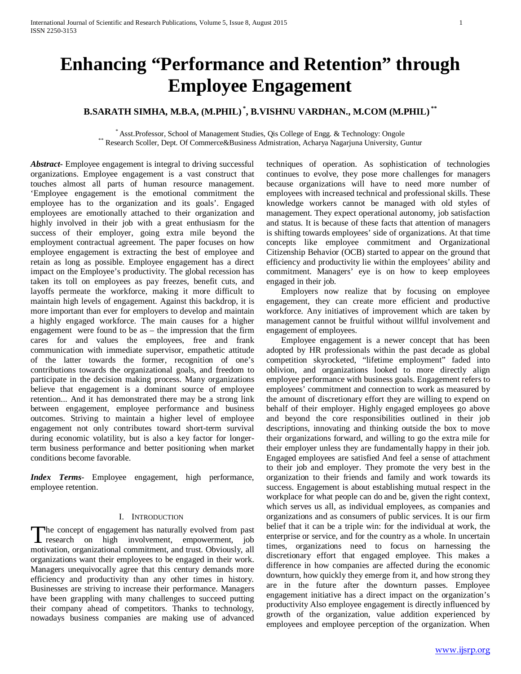# **Enhancing "Performance and Retention" through Employee Engagement**

## **B.SARATH SIMHA, M.B.A, (M.PHIL) \* , B.VISHNU VARDHAN., M.COM (M.PHIL) \*\***

\* Asst.Professor, School of Management Studies, Qis College of Engg. & Technology: Ongole \*\* Research Scoller, Dept. Of Commerce&Business Admistration, Acharya Nagarjuna University, Guntur

*Abstract***-** Employee engagement is integral to driving successful organizations. Employee engagement is a vast construct that touches almost all parts of human resource management. 'Employee engagement is the emotional commitment the employee has to the organization and its goals'. Engaged employees are emotionally attached to their organization and highly involved in their job with a great enthusiasm for the success of their employer, going extra mile beyond the employment contractual agreement. The paper focuses on how employee engagement is extracting the best of employee and retain as long as possible. Employee engagement has a direct impact on the Employee's productivity. The global recession has taken its toll on employees as pay freezes, benefit cuts, and layoffs permeate the workforce, making it more difficult to maintain high levels of engagement. Against this backdrop, it is more important than ever for employers to develop and maintain a highly engaged workforce. The main causes for a higher engagement were found to be as – the impression that the firm cares for and values the employees, free and frank communication with immediate supervisor, empathetic attitude of the latter towards the former, recognition of one's contributions towards the organizational goals, and freedom to participate in the decision making process. Many organizations believe that engagement is a dominant source of employee retention... And it has demonstrated there may be a strong link between engagement, employee performance and business outcomes. Striving to maintain a higher level of employee engagement not only contributes toward short-term survival during economic volatility, but is also a key factor for longerterm business performance and better positioning when market conditions become favorable.

*Index Terms*- Employee engagement, high performance, employee retention.

#### I. INTRODUCTION

The concept of engagement has naturally evolved from past The concept of engagement has naturally evolved from past<br>research on high involvement, empowerment, job motivation, organizational commitment, and trust. Obviously, all organizations want their employees to be engaged in their work. Managers unequivocally agree that this century demands more efficiency and productivity than any other times in history. Businesses are striving to increase their performance. Managers have been grappling with many challenges to succeed putting their company ahead of competitors. Thanks to technology, nowadays business companies are making use of advanced

techniques of operation. As sophistication of technologies continues to evolve, they pose more challenges for managers because organizations will have to need more number of employees with increased technical and professional skills. These knowledge workers cannot be managed with old styles of management. They expect operational autonomy, job satisfaction and status. It is because of these facts that attention of managers is shifting towards employees' side of organizations. At that time concepts like employee commitment and Organizational Citizenship Behavior (OCB) started to appear on the ground that efficiency and productivity lie within the employees' ability and commitment. Managers' eye is on how to keep employees engaged in their job.

 Employers now realize that by focusing on employee engagement, they can create more efficient and productive workforce. Any initiatives of improvement which are taken by management cannot be fruitful without willful involvement and engagement of employees.

 Employee engagement is a newer concept that has been adopted by HR professionals within the past decade as global competition skyrocketed, "lifetime employment" faded into oblivion, and organizations looked to more directly align employee performance with business goals. Engagement refers to employees' commitment and connection to work as measured by the amount of discretionary effort they are willing to expend on behalf of their employer. Highly engaged employees go above and beyond the core responsibilities outlined in their job descriptions, innovating and thinking outside the box to move their organizations forward, and willing to go the extra mile for their employer unless they are fundamentally happy in their job. Engaged employees are satisfied And feel a sense of attachment to their job and employer. They promote the very best in the organization to their friends and family and work towards its success. Engagement is about establishing mutual respect in the workplace for what people can do and be, given the right context, which serves us all, as individual employees, as companies and organizations and as consumers of public services. It is our firm belief that it can be a triple win: for the individual at work, the enterprise or service, and for the country as a whole. In uncertain times, organizations need to focus on harnessing the discretionary effort that engaged employee. This makes a difference in how companies are affected during the economic downturn, how quickly they emerge from it, and how strong they are in the future after the downturn passes. Employee engagement initiative has a direct impact on the organization's productivity Also employee engagement is directly influenced by growth of the organization, value addition experienced by employees and employee perception of the organization. When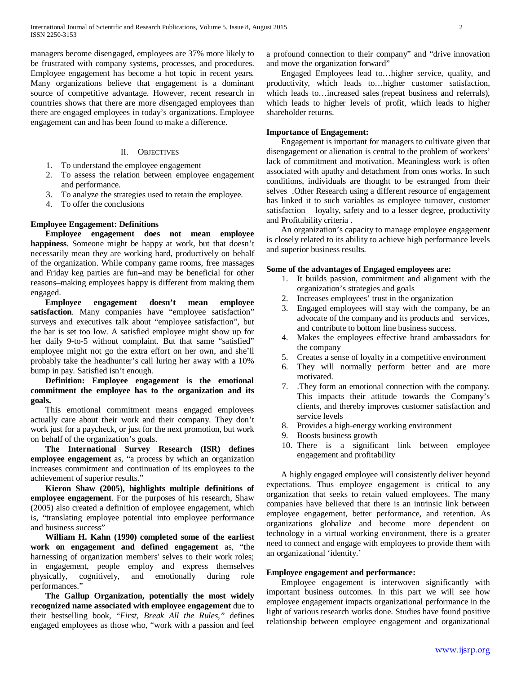managers become disengaged, employees are 37% more likely to be frustrated with company systems, processes, and procedures. Employee engagement has become a hot topic in recent years. Many organizations believe that engagement is a dominant source of competitive advantage. However, recent research in countries shows that there are more *dis*engaged employees than there are engaged employees in today's organizations. Employee engagement can and has been found to make a difference.

#### II. OBJECTIVES

- 1. To understand the employee engagement
- 2. To assess the relation between employee engagement and performance.
- 3. To analyze the strategies used to retain the employee.
- 4. To offer the conclusions

#### **Employee Engagement: Definitions**

 **Employee engagement does not mean employee happiness**. Someone might be happy at work, but that doesn't necessarily mean they are working hard, productively on behalf of the organization. While company game rooms, free massages and Friday keg parties are fun–and may be beneficial for other reasons–making employees happy is different from making them engaged.

 **Employee engagement doesn't mean employee**  satisfaction. Many companies have "employee satisfaction" surveys and executives talk about "employee satisfaction", but the bar is set too low. A satisfied employee might show up for her daily 9-to-5 without complaint. But that same "satisfied" employee might not go the extra effort on her own, and she'll probably take the headhunter's call luring her away with a 10% bump in pay. Satisfied isn't enough.

## **Definition: Employee engagement is the emotional commitment the employee has to the organization and its goals.**

 This emotional commitment means engaged employees actually care about their work and their company. They don't work just for a paycheck, or just for the next promotion, but work on behalf of the organization's goals.

 **The International Survey Research (ISR) defines employee engagement** as, "a process by which an organization increases commitment and continuation of its employees to the achievement of superior results."

 **Kieron Shaw (2005), highlights multiple definitions of employee engagement**. For the purposes of his research, Shaw (2005) also created a definition of employee engagement, which is, "translating employee potential into employee performance and business success"

 **William H. Kahn (1990) completed some of the earliest work on engagement and defined engagement** as, "the harnessing of organization members' selves to their work roles; in engagement, people employ and express themselves physically, cognitively, and emotionally during role performances."

 **The Gallup Organization, potentially the most widely recognized name associated with employee engagement** due to their bestselling book, "*First, Break All the Rules,"* defines engaged employees as those who, "work with a passion and feel

a profound connection to their company" and "drive innovation and move the organization forward"

 Engaged Employees lead to…higher service, quality, and productivity, which leads to…higher customer satisfaction, which leads to…increased sales (repeat business and referrals), which leads to higher levels of profit, which leads to higher shareholder returns.

#### **Importance of Engagement:**

 Engagement is important for managers to cultivate given that disengagement or alienation is central to the problem of workers' lack of commitment and motivation. Meaningless work is often associated with apathy and detachment from ones works. In such conditions, individuals are thought to be estranged from their selves .Other Research using a different resource of engagement has linked it to such variables as employee turnover, customer satisfaction – loyalty, safety and to a lesser degree, productivity and Profitability criteria .

 An organization's capacity to manage employee engagement is closely related to its ability to achieve high performance levels and superior business results.

#### **Some of the advantages of Engaged employees are:**

- 1. It builds passion, commitment and alignment with the organization's strategies and goals
- 2. Increases employees' trust in the organization
- 3. Engaged employees will stay with the company, be an advocate of the company and its products and services, and contribute to bottom line business success.
- 4. Makes the employees effective brand ambassadors for the company
- 5. Creates a sense of loyalty in a competitive environment
- 6. They will normally perform better and are more motivated.
- 7. .They form an emotional connection with the company. This impacts their attitude towards the Company's clients, and thereby improves customer satisfaction and service levels
- 8. Provides a high-energy working environment
- 9. Boosts business growth
- 10. There is a significant link between employee engagement and profitability

 A highly engaged employee will consistently deliver beyond expectations. Thus employee engagement is critical to any organization that seeks to retain valued employees. The many companies have believed that there is an intrinsic link between employee engagement, better performance, and retention. As organizations globalize and become more dependent on technology in a virtual working environment, there is a greater need to connect and engage with employees to provide them with an organizational 'identity.'

#### **Employee engagement and performance:**

 Employee engagement is interwoven significantly with important business outcomes. In this part we will see how employee engagement impacts organizational performance in the light of various research works done. Studies have found positive relationship between employee engagement and organizational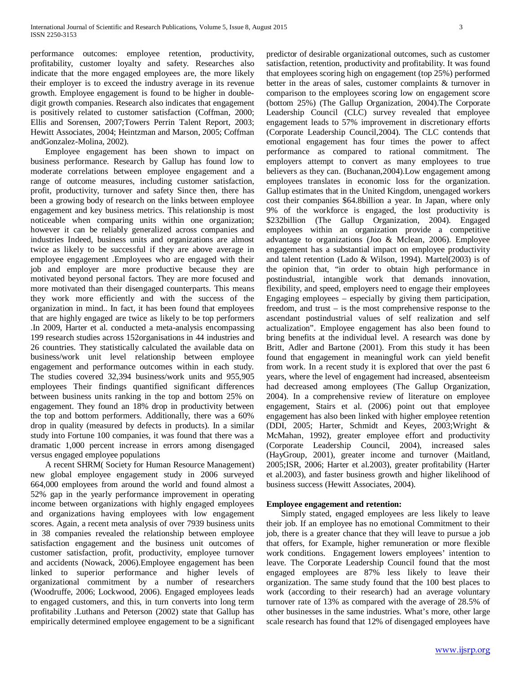performance outcomes: employee retention, productivity, profitability, customer loyalty and safety. Researches also indicate that the more engaged employees are, the more likely their employer is to exceed the industry average in its revenue growth. Employee engagement is found to be higher in doubledigit growth companies. Research also indicates that engagement is positively related to customer satisfaction (Coffman, 2000; Ellis and Sorensen, 2007;Towers Perrin Talent Report, 2003; Hewitt Associates, 2004; Heintzman and Marson, 2005; Coffman andGonzalez-Molina, 2002).

 Employee engagement has been shown to impact on business performance. Research by Gallup has found low to moderate correlations between employee engagement and a range of outcome measures, including customer satisfaction, profit, productivity, turnover and safety Since then, there has been a growing body of research on the links between employee engagement and key business metrics. This relationship is most noticeable when comparing units within one organization; however it can be reliably generalized across companies and industries Indeed, business units and organizations are almost twice as likely to be successful if they are above average in employee engagement .Employees who are engaged with their job and employer are more productive because they are motivated beyond personal factors. They are more focused and more motivated than their disengaged counterparts. This means they work more efficiently and with the success of the organization in mind.. In fact, it has been found that employees that are highly engaged are twice as likely to be top performers .In 2009, Harter et al. conducted a meta-analysis encompassing 199 research studies across 152organisations in 44 industries and 26 countries. They statistically calculated the available data on business/work unit level relationship between employee engagement and performance outcomes within in each study. The studies covered 32,394 business/work units and 955,905 employees Their findings quantified significant differences between business units ranking in the top and bottom 25% on engagement. They found an 18% drop in productivity between the top and bottom performers. Additionally, there was a 60% drop in quality (measured by defects in products). In a similar study into Fortune 100 companies, it was found that there was a dramatic 1,000 percent increase in errors among disengaged versus engaged employee populations

 A recent SHRM( Society for Human Resource Management) new global employee engagement study in 2006 surveyed 664,000 employees from around the world and found almost a 52% gap in the yearly performance improvement in operating income between organizations with highly engaged employees and organizations having employees with low engagement scores. Again, a recent meta analysis of over 7939 business units in 38 companies revealed the relationship between employee satisfaction engagement and the business unit outcomes of customer satisfaction, profit, productivity, employee turnover and accidents (Nowack, 2006).Employee engagement has been linked to superior performance and higher levels of organizational commitment by a number of researchers (Woodruffe, 2006; Lockwood, 2006). Engaged employees leads to engaged customers, and this, in turn converts into long term profitability .Luthans and Peterson (2002) state that Gallup has empirically determined employee engagement to be a significant predictor of desirable organizational outcomes, such as customer satisfaction, retention, productivity and profitability. It was found that employees scoring high on engagement (top 25%) performed better in the areas of sales, customer complaints & turnover in comparison to the employees scoring low on engagement score (bottom 25%) (The Gallup Organization, 2004).The Corporate Leadership Council (CLC) survey revealed that employee engagement leads to 57% improvement in discretionary efforts (Corporate Leadership Council,2004). The CLC contends that emotional engagement has four times the power to affect performance as compared to rational commitment. The employers attempt to convert as many employees to true believers as they can. (Buchanan,2004).Low engagement among employees translates in economic loss for the organization. Gallup estimates that in the United Kingdom, unengaged workers cost their companies \$64.8billion a year. In Japan, where only 9% of the workforce is engaged, the lost productivity is \$232billion (The Gallup Organization, 2004). Engaged employees within an organization provide a competitive advantage to organizations (Joo & Mclean, 2006). Employee engagement has a substantial impact on employee productivity and talent retention (Lado & Wilson, 1994). Martel(2003) is of the opinion that, "in order to obtain high performance in postindustrial, intangible work that demands innovation, flexibility, and speed, employers need to engage their employees Engaging employees – especially by giving them participation, freedom, and trust – is the most comprehensive response to the ascendant postindustrial values of self realization and self actualization". Employee engagement has also been found to bring benefits at the individual level. A research was done by Britt, Adler and Bartone (2001). From this study it has been found that engagement in meaningful work can yield benefit from work. In a recent study it is explored that over the past 6 years, where the level of engagement had increased, absenteeism had decreased among employees (The Gallup Organization, 2004). In a comprehensive review of literature on employee engagement, Stairs et al. (2006) point out that employee engagement has also been linked with higher employee retention (DDI, 2005; Harter, Schmidt and Keyes, 2003;Wright & McMahan, 1992), greater employee effort and productivity (Corporate Leadership Council, 2004), increased sales (HayGroup, 2001), greater income and turnover (Maitland, 2005;ISR, 2006; Harter et al.2003), greater profitability (Harter et al.2003), and faster business growth and higher likelihood of business success (Hewitt Associates, 2004).

#### **Employee engagement and retention:**

 Simply stated, engaged employees are less likely to leave their job. If an employee has no emotional Commitment to their job, there is a greater chance that they will leave to pursue a job that offers, for Example, higher remuneration or more flexible work conditions. Engagement lowers employees' intention to leave. The Corporate Leadership Council found that the most engaged employees are 87% less likely to leave their organization. The same study found that the 100 best places to work (according to their research) had an average voluntary turnover rate of 13% as compared with the average of 28.5% of other businesses in the same industries. What's more, other large scale research has found that 12% of disengaged employees have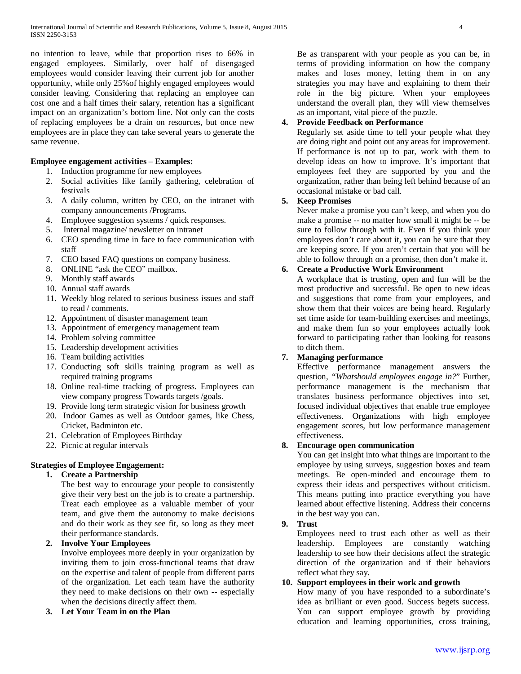no intention to leave, while that proportion rises to 66% in engaged employees. Similarly, over half of disengaged employees would consider leaving their current job for another opportunity, while only 25%of highly engaged employees would consider leaving. Considering that replacing an employee can cost one and a half times their salary, retention has a significant impact on an organization's bottom line. Not only can the costs of replacing employees be a drain on resources, but once new employees are in place they can take several years to generate the same revenue.

## **Employee engagement activities – Examples:**

- 1. Induction programme for new employees
- 2. Social activities like family gathering, celebration of festivals
- 3. A daily column, written by CEO, on the intranet with company announcements /Programs.
- 4. Employee suggestion systems / quick responses.
- 5. Internal magazine/ newsletter on intranet
- 6. CEO spending time in face to face communication with staff
- 7. CEO based FAQ questions on company business.
- 8. ONLINE "ask the CEO" mailbox.
- 9. Monthly staff awards
- 10. Annual staff awards
- 11. Weekly blog related to serious business issues and staff to read / comments.
- 12. Appointment of disaster management team
- 13. Appointment of emergency management team
- 14. Problem solving committee
- 15. Leadership development activities
- 16. Team building activities
- 17. Conducting soft skills training program as well as required training programs
- 18. Online real-time tracking of progress. Employees can view company progress Towards targets /goals.
- 19. Provide long term strategic vision for business growth
- 20. Indoor Games as well as Outdoor games, like Chess, Cricket, Badminton etc.
- 21. Celebration of Employees Birthday
- 22. Picnic at regular intervals

## **Strategies of Employee Engagement:**

## **1. Create a Partnership**

The best way to encourage your people to consistently give their very best on the job is to create a partnership. Treat each employee as a valuable member of your team, and give them the autonomy to make decisions and do their work as they see fit, so long as they meet their performance standards.

## **2. Involve Your Employees**

Involve employees more deeply in your organization by inviting them to join cross-functional teams that draw on the expertise and talent of people from different parts of the organization. Let each team have the authority they need to make decisions on their own -- especially when the decisions directly affect them.

**3. Let Your Team in on the Plan**

Be as transparent with your people as you can be, in terms of providing information on how the company makes and loses money, letting them in on any strategies you may have and explaining to them their role in the big picture. When your employees understand the overall plan, they will view themselves as an important, vital piece of the puzzle.

## **4. Provide Feedback on Performance**

Regularly set aside time to tell your people what they are doing right and point out any areas for improvement. If performance is not up to par, work with them to develop ideas on how to improve. It's important that employees feel they are supported by you and the organization, rather than being left behind because of an occasional mistake or bad call.

## **5. Keep Promises**

Never make a promise you can't keep, and when you do make a promise -- no matter how small it might be -- be sure to follow through with it. Even if you think your employees don't care about it, you can be sure that they are keeping score. If you aren't certain that you will be able to follow through on a promise, then don't make it.

## **6. Create a Productive Work Environment**

A workplace that is trusting, open and fun will be the most productive and successful. Be open to new ideas and suggestions that come from your employees, and show them that their voices are being heard. Regularly set time aside for team-building exercises and meetings, and make them fun so your employees actually look forward to participating rather than looking for reasons to ditch them.

## **7. Managing performance**

Effective performance management answers the question, *"Whatshould employees engage in?*" Further, performance management is the mechanism that translates business performance objectives into set, focused individual objectives that enable true employee effectiveness. Organizations with high employee engagement scores, but low performance management effectiveness.

## **8. Encourage open communication**

You can get insight into what things are important to the employee by using surveys, suggestion boxes and team meetings. Be open-minded and encourage them to express their ideas and perspectives without criticism. This means putting into practice everything you have learned about effective listening. Address their concerns in the best way you can.

## **9. Trust**

Employees need to trust each other as well as their leadership. Employees are constantly watching leadership to see how their decisions affect the strategic direction of the organization and if their behaviors reflect what they say.

## **10. Support employees in their work and growth**

How many of you have responded to a subordinate's idea as brilliant or even good. Success begets success. You can support employee growth by providing education and learning opportunities, cross training,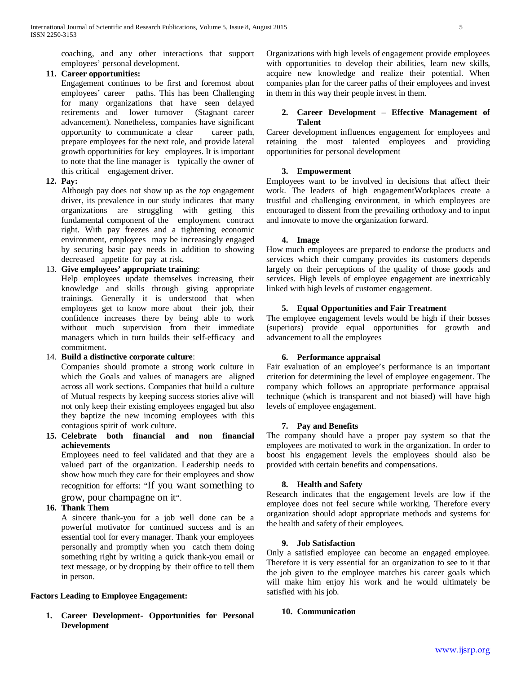coaching, and any other interactions that support employees' personal development.

#### **11. Career opportunities:**

Engagement continues to be first and foremost about employees' career paths. This has been Challenging for many organizations that have seen delayed retirements and lower turnover (Stagnant career advancement). Nonetheless, companies have significant opportunity to communicate a clear career path, prepare employees for the next role, and provide lateral growth opportunities for key employees. It is important to note that the line manager is typically the owner of this critical engagement driver.

#### **12. Pay:**

Although pay does not show up as the *top* engagement driver, its prevalence in our study indicates that many organizations are struggling with getting this fundamental component of the employment contract right. With pay freezes and a tightening economic environment, employees may be increasingly engaged by securing basic pay needs in addition to showing decreased appetite for pay at risk.

## 13. **Give employees' appropriate training**:

Help employees update themselves increasing their knowledge and skills through giving appropriate trainings. Generally it is understood that when employees get to know more about their job, their confidence increases there by being able to work without much supervision from their immediate managers which in turn builds their self-efficacy and commitment.

#### 14. **Build a distinctive corporate culture**:

Companies should promote a strong work culture in which the Goals and values of managers are aligned across all work sections. Companies that build a culture of Mutual respects by keeping success stories alive will not only keep their existing employees engaged but also they baptize the new incoming employees with this contagious spirit of work culture.

**15. Celebrate both financial and non financial achievements**

Employees need to feel validated and that they are a valued part of the organization. Leadership needs to show how much they care for their employees and show recognition for efforts: "If you [want something to](http://www.torbenrick.eu/blog/business-improvement/change-management-and-the-power-of-small-wins/)  [grow, pour champagne on it"](http://www.torbenrick.eu/blog/business-improvement/change-management-and-the-power-of-small-wins/).

## **16. Thank Them**

A sincere thank-you for a job well done can be a powerful motivator for continued success and is an essential tool for every manager. Thank your employees personally and promptly when you catch them doing something right by writing a quick thank-you email or text message, or by dropping by their office to tell them in person.

## **Factors Leading to Employee Engagement:**

**1. Career Development- Opportunities for Personal Development**

Organizations with high levels of engagement provide employees with opportunities to develop their abilities, learn new skills, acquire new knowledge and realize their potential. When companies plan for the career paths of their employees and invest in them in this way their people invest in them.

#### **2. Career Development – Effective Management of Talent**

Career development influences engagement for employees and retaining the most talented employees and providing opportunities for personal development

#### **3. Empowerment**

Employees want to be involved in decisions that affect their work. The leaders of high engagementWorkplaces create a trustful and challenging environment, in which employees are encouraged to dissent from the prevailing orthodoxy and to input and innovate to move the organization forward.

#### **4. Image**

How much employees are prepared to endorse the products and services which their company provides its customers depends largely on their perceptions of the quality of those goods and services. High levels of employee engagement are inextricably linked with high levels of customer engagement.

#### **5. Equal Opportunities and Fair Treatment**

The employee engagement levels would be high if their bosses (superiors) provide equal opportunities for growth and advancement to all the employees

## **6. Performance appraisal**

Fair evaluation of an employee's performance is an important criterion for determining the level of employee engagement. The company which follows an appropriate performance appraisal technique (which is transparent and not biased) will have high levels of employee engagement.

#### **7. Pay and Benefits**

The company should have a proper pay system so that the employees are motivated to work in the organization. In order to boost his engagement levels the employees should also be provided with certain benefits and compensations.

#### **8. Health and Safety**

Research indicates that the engagement levels are low if the employee does not feel secure while working. Therefore every organization should adopt appropriate methods and systems for the health and safety of their employees.

#### **9. Job Satisfaction**

Only a satisfied employee can become an engaged employee. Therefore it is very essential for an organization to see to it that the job given to the employee matches his career goals which will make him enjoy his work and he would ultimately be satisfied with his job.

#### **10. Communication**